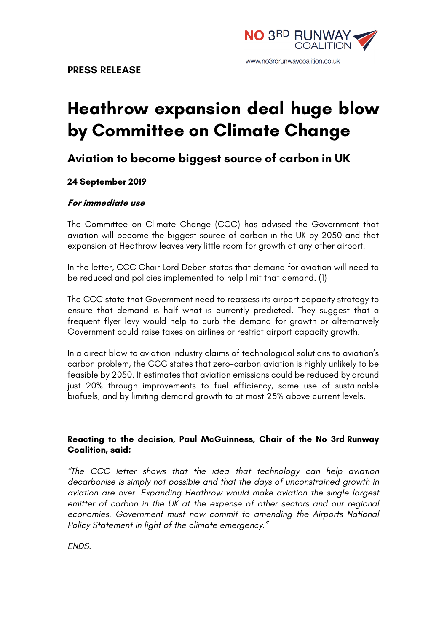

# **Heathrow expansion deal huge blow by Committee on Climate Change**

## **Aviation to become biggest source of carbon in UK**

### **24 September 2019**

#### **For immediate use**

The Committee on Climate Change (CCC) has advised the Government that aviation will become the biggest source of carbon in the UK by 2050 and that expansion at Heathrow leaves very little room for growth at any other airport.

In the letter, CCC Chair Lord Deben states that demand for aviation will need to be reduced and policies implemented to help limit that demand. (1)

The CCC state that Government need to reassess its airport capacity strategy to ensure that demand is half what is currently predicted. They suggest that a frequent flyer levy would help to curb the demand for growth or alternatively Government could raise taxes on airlines or restrict airport capacity growth.

In a direct blow to aviation industry claims of technological solutions to aviation's carbon problem, the CCC states that zero-carbon aviation is highly unlikely to be feasible by 2050. It estimates that aviation emissions could be reduced by around just 20% through improvements to fuel efficiency, some use of sustainable biofuels, and by limiting demand growth to at most 25% above current levels.

### **Reacting to the decision, Paul McGuinness, Chair of the No 3rd Runway Coalition, said:**

*"The CCC letter shows that the idea that technology can help aviation decarbonise is simply not possible and that the days of unconstrained growth in aviation are over. Expanding Heathrow would make aviation the single largest emitter of carbon in the UK at the expense of other sectors and our regional economies. Government must now commit to amending the Airports National Policy Statement in light of the climate emergency."*

*ENDS.*